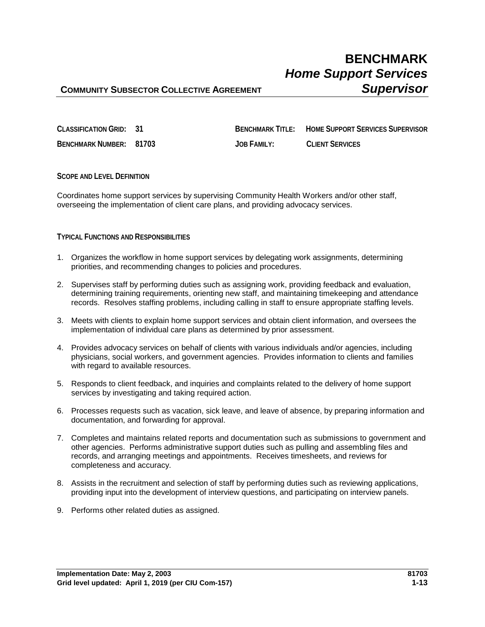## **COMMUNITY SUBSECTOR COLLECTIVE AGREEMENT SUPERVISOR**

**CLASSIFICATION GRID: 31 BENCHMARK TITLE: HOME SUPPORT SERVICES SUPERVISOR BENCHMARK NUMBER: 81703 JOB FAMILY: CLIENT SERVICES**

**SCOPE AND LEVEL DEFINITION**

Coordinates home support services by supervising Community Health Workers and/or other staff, overseeing the implementation of client care plans, and providing advocacy services.

### **TYPICAL FUNCTIONS AND RESPONSIBILITIES**

- 1. Organizes the workflow in home support services by delegating work assignments, determining priorities, and recommending changes to policies and procedures.
- 2. Supervises staff by performing duties such as assigning work, providing feedback and evaluation, determining training requirements, orienting new staff, and maintaining timekeeping and attendance records. Resolves staffing problems, including calling in staff to ensure appropriate staffing levels.
- 3. Meets with clients to explain home support services and obtain client information, and oversees the implementation of individual care plans as determined by prior assessment.
- 4. Provides advocacy services on behalf of clients with various individuals and/or agencies, including physicians, social workers, and government agencies. Provides information to clients and families with regard to available resources.
- 5. Responds to client feedback, and inquiries and complaints related to the delivery of home support services by investigating and taking required action.
- 6. Processes requests such as vacation, sick leave, and leave of absence, by preparing information and documentation, and forwarding for approval.
- 7. Completes and maintains related reports and documentation such as submissions to government and other agencies. Performs administrative support duties such as pulling and assembling files and records, and arranging meetings and appointments. Receives timesheets, and reviews for completeness and accuracy.
- 8. Assists in the recruitment and selection of staff by performing duties such as reviewing applications, providing input into the development of interview questions, and participating on interview panels.
- 9. Performs other related duties as assigned.